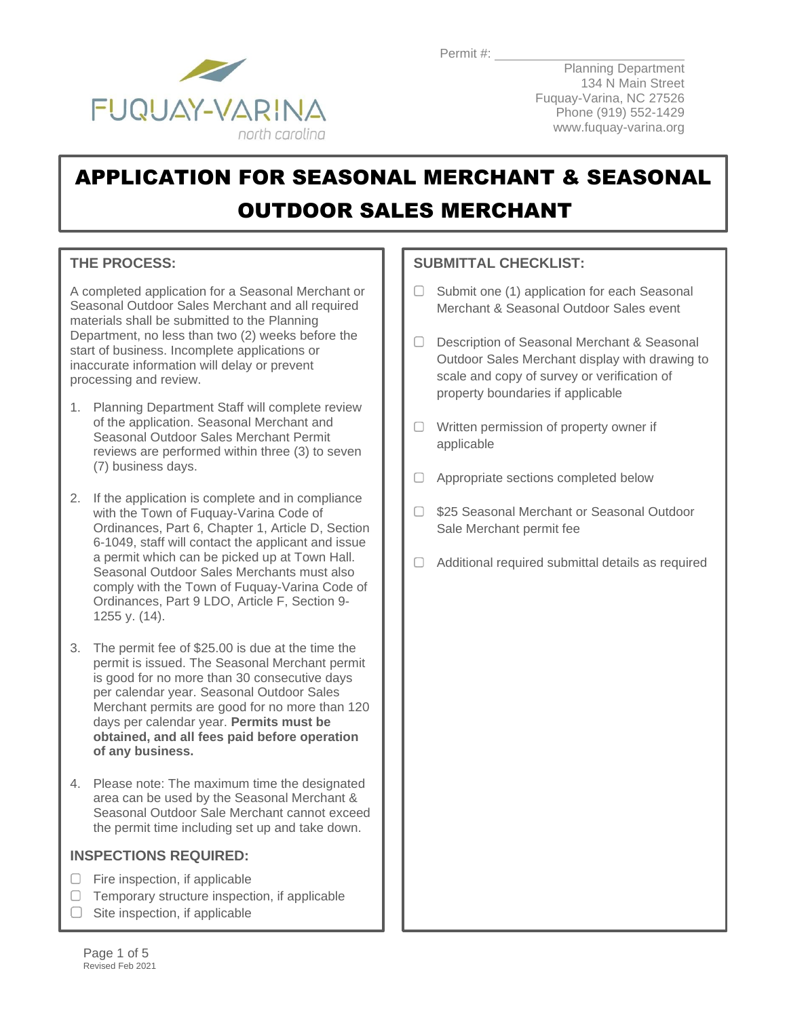

Planning Department 134 N Main Street Fuquay-Varina, NC 27526 Phone (919) 552-1429 www.fuquay-varina.org

# APPLICATION FOR SEASONAL MERCHANT & SEASONAL OUTDOOR SALES MERCHANT

### **THE PROCESS:**

A completed application for a Seasonal Merchant or Seasonal Outdoor Sales Merchant and all required materials shall be submitted to the Planning Department, no less than two (2) weeks before the start of business. Incomplete applications or inaccurate information will delay or prevent processing and review.

- 1. Planning Department Staff will complete review of the application. Seasonal Merchant and Seasonal Outdoor Sales Merchant Permit reviews are performed within three (3) to seven (7) business days.
- 2. If the application is complete and in compliance with the Town of Fuquay-Varina Code of Ordinances, Part 6, Chapter 1, Article D, Section 6-1049, staff will contact the applicant and issue a permit which can be picked up at Town Hall. Seasonal Outdoor Sales Merchants must also comply with the Town of Fuquay-Varina Code of Ordinances, Part 9 LDO, Article F, Section 9- 1255 y. (14).
- 3. The permit fee of \$25.00 is due at the time the permit is issued. The Seasonal Merchant permit is good for no more than 30 consecutive days per calendar year. Seasonal Outdoor Sales Merchant permits are good for no more than 120 days per calendar year. **Permits must be obtained, and all fees paid before operation of any business.**
- 4. Please note: The maximum time the designated area can be used by the Seasonal Merchant & Seasonal Outdoor Sale Merchant cannot exceed the permit time including set up and take down.

### **INSPECTIONS REQUIRED:**

- $\Box$  Fire inspection, if applicable
- $\Box$  Temporary structure inspection, if applicable
- $\Box$  Site inspection, if applicable

### **SUBMITTAL CHECKLIST:**

- $\Box$  Submit one (1) application for each Seasonal Merchant & Seasonal Outdoor Sales event
- □ Description of Seasonal Merchant & Seasonal Outdoor Sales Merchant display with drawing to scale and copy of survey or verification of property boundaries if applicable
- $\Box$  Written permission of property owner if applicable
- □ Appropriate sections completed below
- □ \$25 Seasonal Merchant or Seasonal Outdoor Sale Merchant permit fee
- $\Box$  Additional required submittal details as required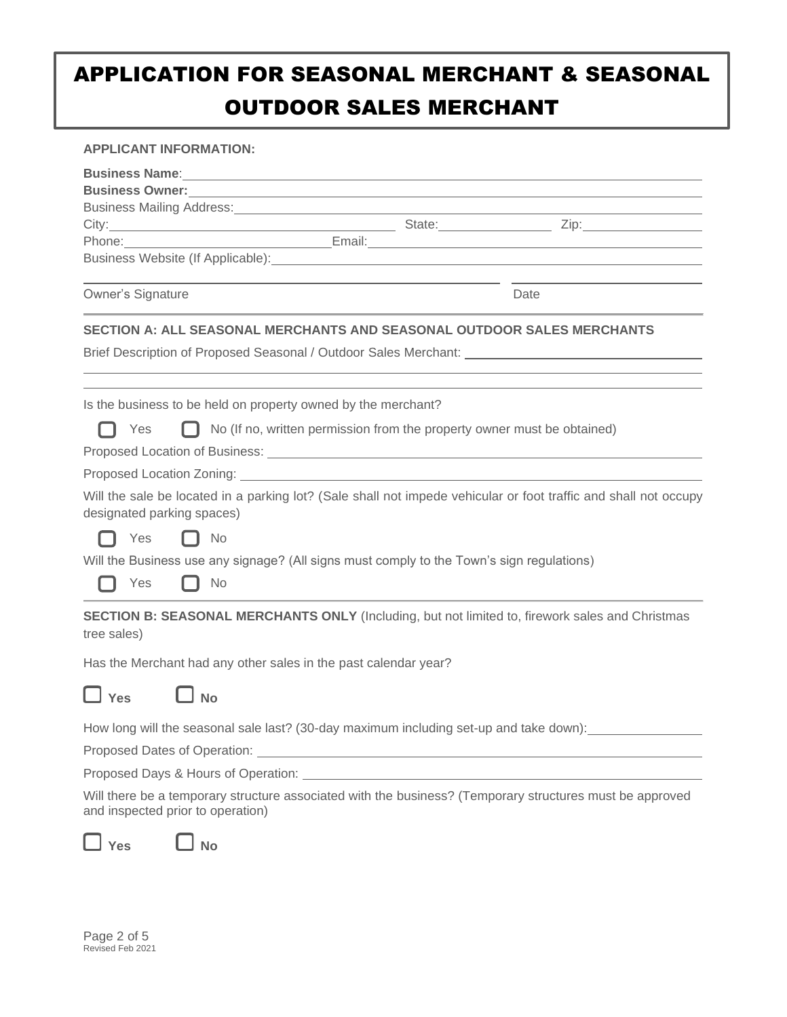## APPLICATION FOR SEASONAL MERCHANT & SEASONAL OUTDOOR SALES MERCHANT

#### **APPLICANT INFORMATION:**

| Business Name: Note: 2008 and 2008 and 2008 and 2008 and 2008 and 2008 and 2008 and 2008 and 2008 and 2008 and 2008 and 2008 and 2008 and 2008 and 2008 and 2008 and 2008 and 2008 and 2008 and 2008 and 2008 and 2008 and 200 |  |                                                                                                                       |  |  |  |
|--------------------------------------------------------------------------------------------------------------------------------------------------------------------------------------------------------------------------------|--|-----------------------------------------------------------------------------------------------------------------------|--|--|--|
|                                                                                                                                                                                                                                |  |                                                                                                                       |  |  |  |
| Business Mailing Address: Manual Manual Manual Manual Manual Manual Manual Manual Manual Manual Manual Manual                                                                                                                  |  |                                                                                                                       |  |  |  |
| Phone:                                                                                                                                                                                                                         |  | <u> Email: Email: Email: Email: Email: Email: Email: Email: Email: Email: Email: Email: Email: Email: Email: Emai</u> |  |  |  |
| Business Website (If Applicable): Manual Content of the Content of the Content of the Content of the Content of the Content of the Content of the Content of the Content of the Content of the Content of the Content of the C |  |                                                                                                                       |  |  |  |
| Owner's Signature                                                                                                                                                                                                              |  | Date                                                                                                                  |  |  |  |
| SECTION A: ALL SEASONAL MERCHANTS AND SEASONAL OUTDOOR SALES MERCHANTS                                                                                                                                                         |  |                                                                                                                       |  |  |  |
| Brief Description of Proposed Seasonal / Outdoor Sales Merchant: ________________                                                                                                                                              |  |                                                                                                                       |  |  |  |
| Is the business to be held on property owned by the merchant?                                                                                                                                                                  |  |                                                                                                                       |  |  |  |
| $\Box$ No (If no, written permission from the property owner must be obtained)<br>Yes                                                                                                                                          |  |                                                                                                                       |  |  |  |
|                                                                                                                                                                                                                                |  |                                                                                                                       |  |  |  |
| Proposed Location Zoning: Note and South Art and South Art and South Art and South Art and South Art and Art and Art and Art and Art and Art and Art and Art and Art and Art and Art and Art and Art and Art and Art and Art a |  |                                                                                                                       |  |  |  |
| Will the sale be located in a parking lot? (Sale shall not impede vehicular or foot traffic and shall not occupy<br>designated parking spaces)                                                                                 |  |                                                                                                                       |  |  |  |
| Yes<br>No                                                                                                                                                                                                                      |  |                                                                                                                       |  |  |  |
| Will the Business use any signage? (All signs must comply to the Town's sign regulations)<br>Yes<br>No                                                                                                                         |  |                                                                                                                       |  |  |  |
| SECTION B: SEASONAL MERCHANTS ONLY (Including, but not limited to, firework sales and Christmas<br>tree sales)                                                                                                                 |  |                                                                                                                       |  |  |  |
| Has the Merchant had any other sales in the past calendar year?                                                                                                                                                                |  |                                                                                                                       |  |  |  |
| No لـ<br>Yes                                                                                                                                                                                                                   |  |                                                                                                                       |  |  |  |
| How long will the seasonal sale last? (30-day maximum including set-up and take down):                                                                                                                                         |  |                                                                                                                       |  |  |  |
|                                                                                                                                                                                                                                |  |                                                                                                                       |  |  |  |
|                                                                                                                                                                                                                                |  |                                                                                                                       |  |  |  |
| Will there be a temporary structure associated with the business? (Temporary structures must be approved<br>and inspected prior to operation)                                                                                  |  |                                                                                                                       |  |  |  |
| <b>No</b><br>Yes                                                                                                                                                                                                               |  |                                                                                                                       |  |  |  |

Page 2 of 5 Revised Feb 2021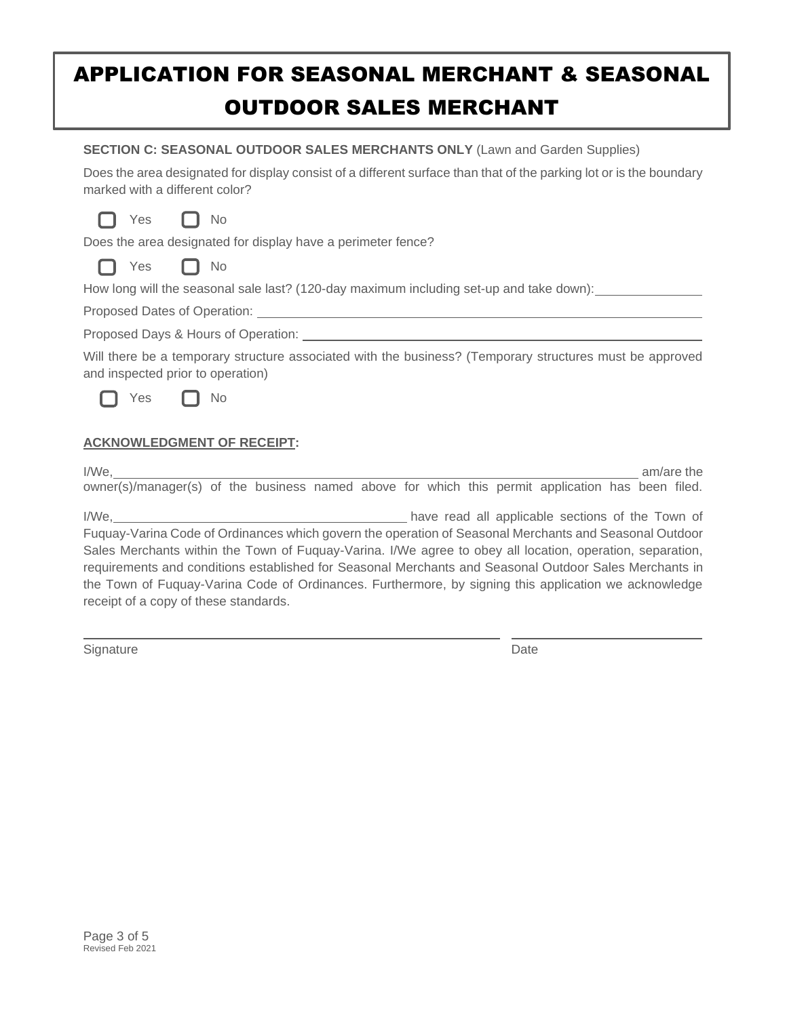## APPLICATION FOR SEASONAL MERCHANT & SEASONAL OUTDOOR SALES MERCHANT

| <b>SECTION C: SEASONAL OUTDOOR SALES MERCHANTS ONLY (Lawn and Garden Supplies)</b><br>Does the area designated for display consist of a different surface than that of the parking lot or is the boundary<br>marked with a different color? |  |  |  |  |
|---------------------------------------------------------------------------------------------------------------------------------------------------------------------------------------------------------------------------------------------|--|--|--|--|
| Yes<br>No<br>Does the area designated for display have a perimeter fence?<br>Yes<br>$\Box$ No                                                                                                                                               |  |  |  |  |
| How long will the seasonal sale last? (120-day maximum including set-up and take down):                                                                                                                                                     |  |  |  |  |
|                                                                                                                                                                                                                                             |  |  |  |  |
|                                                                                                                                                                                                                                             |  |  |  |  |
| Will there be a temporary structure associated with the business? (Temporary structures must be approved<br>and inspected prior to operation)                                                                                               |  |  |  |  |
| Yes<br>No                                                                                                                                                                                                                                   |  |  |  |  |
| <b>ACKNOWLEDGMENT OF RECEIPT:</b>                                                                                                                                                                                                           |  |  |  |  |
| I/We.<br>am/are the<br>owner(s)/manager(s) of the business named above for which this permit application has been filed.                                                                                                                    |  |  |  |  |
|                                                                                                                                                                                                                                             |  |  |  |  |

Fuquay-Varina Code of Ordinances which govern the operation of Seasonal Merchants and Seasonal Outdoor Sales Merchants within the Town of Fuquay-Varina. I/We agree to obey all location, operation, separation, requirements and conditions established for Seasonal Merchants and Seasonal Outdoor Sales Merchants in the Town of Fuquay-Varina Code of Ordinances. Furthermore, by signing this application we acknowledge receipt of a copy of these standards.

Signature Date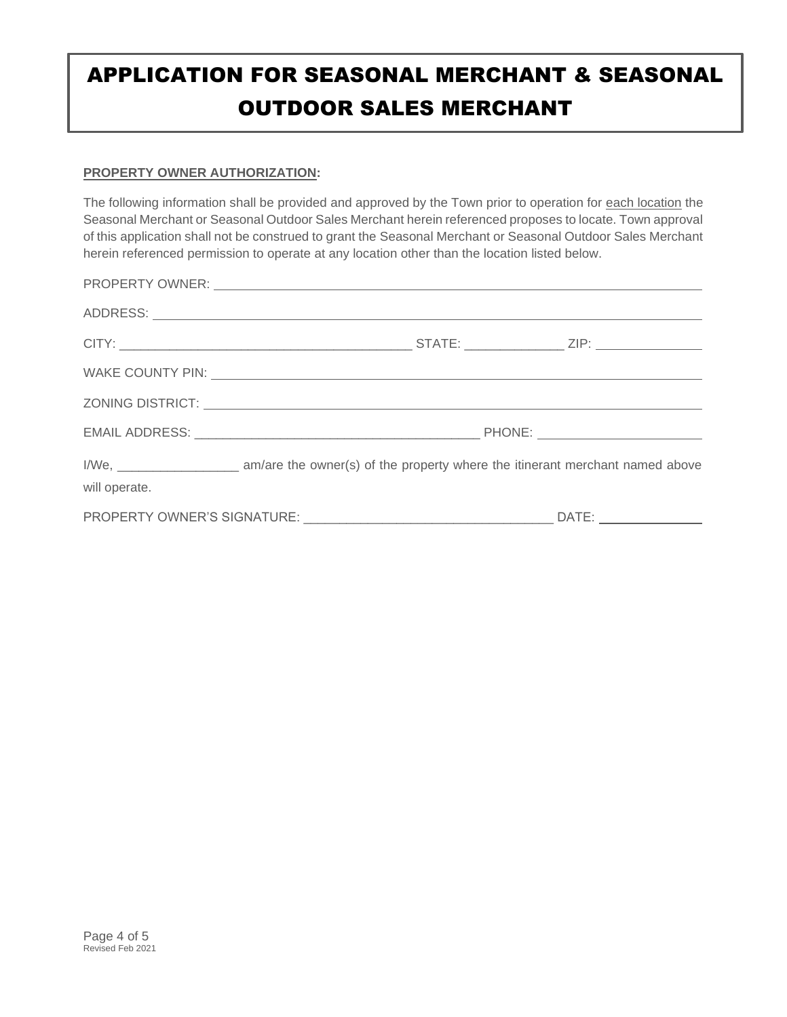# APPLICATION FOR SEASONAL MERCHANT & SEASONAL OUTDOOR SALES MERCHANT

#### **PROPERTY OWNER AUTHORIZATION:**

The following information shall be provided and approved by the Town prior to operation for each location the Seasonal Merchant or Seasonal Outdoor Sales Merchant herein referenced proposes to locate. Town approval of this application shall not be construed to grant the Seasonal Merchant or Seasonal Outdoor Sales Merchant herein referenced permission to operate at any location other than the location listed below.

|                             | PROPERTY OWNER: University of the contract of the contract of the contract of the contract of the contract of the contract of the contract of the contract of the contract of the contract of the contract of the contract of  |  |       |  |
|-----------------------------|--------------------------------------------------------------------------------------------------------------------------------------------------------------------------------------------------------------------------------|--|-------|--|
|                             |                                                                                                                                                                                                                                |  |       |  |
|                             |                                                                                                                                                                                                                                |  |       |  |
|                             | WAKE COUNTY PIN: VALUE AND THE COUNTY PINE AND THE COUNTY PINE AND THE COUNTY PINE AND THE COUNTY PINE AND THE COUNTY OF THE COUNTY OF THE COUNTY OF THE COUNTY OF THE COUNTY OF THE COUNTY OF THE COUNTY OF THE COUNTY OF THE |  |       |  |
|                             |                                                                                                                                                                                                                                |  |       |  |
|                             |                                                                                                                                                                                                                                |  |       |  |
| will operate.               |                                                                                                                                                                                                                                |  |       |  |
| PROPERTY OWNER'S SIGNATURE: |                                                                                                                                                                                                                                |  | DATE: |  |